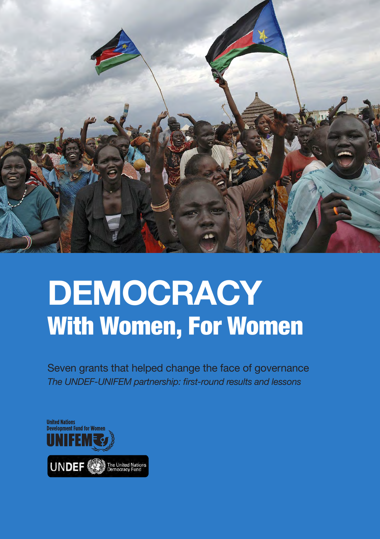

# **DEMOCRACY** With Women, For Women

Seven grants that helped change the face of governance *The UNDEF-UNIFEM partnership: first-round results and lessons*

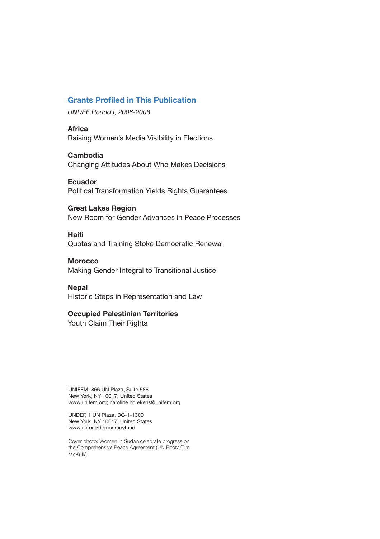# **Grants Profiled in This Publication**

*UNDEF Round I, 2006-2008*

**Africa** Raising Women's Media Visibility in Elections

**Cambodia** Changing Attitudes About Who Makes Decisions

**Ecuador**  Political Transformation Yields Rights Guarantees

**Great Lakes Region** New Room for Gender Advances in Peace Processes

**Haiti**

Quotas and Training Stoke Democratic Renewal

# **Morocco**

Making Gender Integral to Transitional Justice

**Nepal**

Historic Steps in Representation and Law

### **Occupied Palestinian Territories**

Youth Claim Their Rights

UNIFEM, 866 UN Plaza, Suite 586 New York, NY 10017, United States www.unifem.org; caroline.horekens@unifem.org

UNDEF, 1 UN Plaza, DC-1-1300 New York, NY 10017, United States www.un.org/democracyfund

Cover photo: Women in Sudan celebrate progress on the Comprehensive Peace Agreement (UN Photo/Tim McKulk).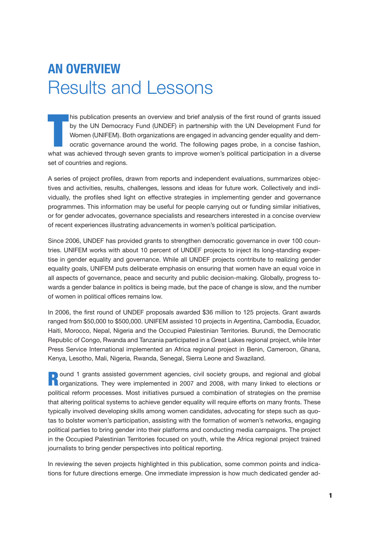# **An Overview** Results and Lessons

his publication presents an overview and brief analysis of the first round of grants issued<br>by the UN Democracy Fund (UNDEF) in partnership with the UN Development Fund for<br>Women (UNIFEM). Both organizations are engaged in his publication presents an overview and brief analysis of the first round of grants issued by the UN Democracy Fund (UNDEF) in partnership with the UN Development Fund for Women (UNIFEM). Both organizations are engaged in advancing gender equality and democratic governance around the world. The following pages probe, in a concise fashion, set of countries and regions.

A series of project profiles, drawn from reports and independent evaluations, summarizes objectives and activities, results, challenges, lessons and ideas for future work. Collectively and individually, the profiles shed light on effective strategies in implementing gender and governance programmes. This information may be useful for people carrying out or funding similar initiatives, or for gender advocates, governance specialists and researchers interested in a concise overview of recent experiences illustrating advancements in women's political participation.

Since 2006, UNDEF has provided grants to strengthen democratic governance in over 100 countries. UNIFEM works with about 10 percent of UNDEF projects to inject its long-standing expertise in gender equality and governance. While all UNDEF projects contribute to realizing gender equality goals, UNIFEM puts deliberate emphasis on ensuring that women have an equal voice in all aspects of governance, peace and security and public decision-making. Globally, progress towards a gender balance in politics is being made, but the pace of change is slow, and the number of women in political offices remains low.

In 2006, the first round of UNDEF proposals awarded \$36 million to 125 projects. Grant awards ranged from \$50,000 to \$500,000. UNIFEM assisted 10 projects in Argentina, Cambodia, Ecuador, Haiti, Morocco, Nepal, Nigeria and the Occupied Palestinian Territories. Burundi, the Democratic Republic of Congo, Rwanda and Tanzania participated in a Great Lakes regional project, while Inter Press Service International implemented an Africa regional project in Benin, Cameroon, Ghana, Kenya, Lesotho, Mali, Nigeria, Rwanda, Senegal, Sierra Leone and Swaziland.

**Round 1 grants assisted government agencies, civil society groups, and regional and global n**organizations. They were implemented in 2007 and 2008, with many linked to elections or political reform processes. Most initiatives pursued a combination of strategies on the premise that altering political systems to achieve gender equality will require efforts on many fronts. These typically involved developing skills among women candidates, advocating for steps such as quotas to bolster women's participation, assisting with the formation of women's networks, engaging political parties to bring gender into their platforms and conducting media campaigns. The project in the Occupied Palestinian Territories focused on youth, while the Africa regional project trained journalists to bring gender perspectives into political reporting.

In reviewing the seven projects highlighted in this publication, some common points and indications for future directions emerge. One immediate impression is how much dedicated gender ad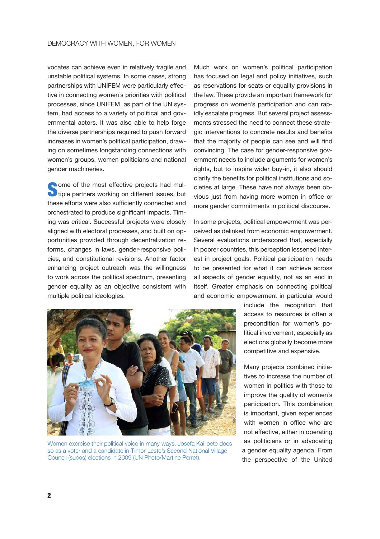vocates can achieve even in relatively fragile and unstable political systems. In some cases, strong partnerships with UNIFEM were particularly effective in connecting women's priorities with political processes, since UNIFEM, as part of the UN system, had access to a variety of political and governmental actors. It was also able to help forge the diverse partnerships required to push forward increases in women's political participation, drawing on sometimes longstanding connections with women's groups, women politicians and national gender machineries.

**Some of the most effective projects had multiple partners working on different issues, but** these efforts were also sufficiently connected and orchestrated to produce significant impacts. Timing was critical. Successful projects were closely aligned with electoral processes, and built on opportunities provided through decentralization reforms, changes in laws, gender-responsive policies, and constitutional revisions. Another factor enhancing project outreach was the willingness to work across the political spectrum, presenting gender equality as an objective consistent with multiple political ideologies.

Much work on women's political participation has focused on legal and policy initiatives, such as reservations for seats or equality provisions in the law. These provide an important framework for progress on women's participation and can rapidly escalate progress. But several project assessments stressed the need to connect these strategic interventions to concrete results and benefits that the majority of people can see and will find convincing. The case for gender-responsive government needs to include arguments for women's rights, but to inspire wider buy-in, it also should clarify the benefits for political institutions and societies at large. These have not always been obvious just from having more women in office or more gender commitments in political discourse.

In some projects, political empowerment was perceived as delinked from economic empowerment. Several evaluations underscored that, especially in poorer countries, this perception lessened interest in project goals. Political participation needs to be presented for what it can achieve across all aspects of gender equality, not as an end in itself. Greater emphasis on connecting political and economic empowerment in particular would



Women exercise their political voice in many ways. Josefa Kai-bete does so as a voter and a candidate in Timor-Leste's Second National Village Council (sucos) elections in 2009 (UN Photo/Martine Perret).

include the recognition that access to resources is often a precondition for women's political involvement, especially as elections globally become more competitive and expensive.

Many projects combined initiatives to increase the number of women in politics with those to improve the quality of women's participation. This combination is important, given experiences with women in office who are not effective, either in operating as politicians or in advocating a gender equality agenda. From the perspective of the United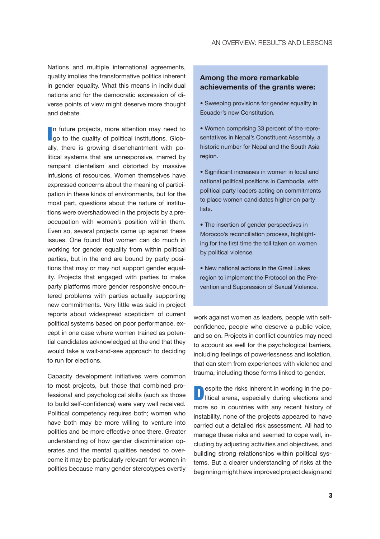Nations and multiple international agreements, quality implies the transformative politics inherent in gender equality. What this means in individual nations and for the democratic expression of diverse points of view might deserve more thought and debate.

In future projects, more attention may need to go to the quality of political institutions. Globn future projects, more attention may need to ally, there is growing disenchantment with political systems that are unresponsive, marred by rampant clientelism and distorted by massive infusions of resources. Women themselves have expressed concerns about the meaning of participation in these kinds of environments, but for the most part, questions about the nature of institutions were overshadowed in the projects by a preoccupation with women's position within them. Even so, several projects came up against these issues. One found that women can do much in working for gender equality from within political parties, but in the end are bound by party positions that may or may not support gender equality. Projects that engaged with parties to make party platforms more gender responsive encountered problems with parties actually supporting new commitments. Very little was said in project reports about widespread scepticism of current political systems based on poor performance, except in one case where women trained as potential candidates acknowledged at the end that they would take a wait-and-see approach to deciding to run for elections.

Capacity development initiatives were common to most projects, but those that combined professional and psychological skills (such as those to build self-confidence) were very well received. Political competency requires both; women who have both may be more willing to venture into politics and be more effective once there. Greater understanding of how gender discrimination operates and the mental qualities needed to overcome it may be particularly relevant for women in politics because many gender stereotypes overtly

# **Among the more remarkable achievements of the grants were:**

- Sweeping provisions for gender equality in Ecuador's new Constitution.
- Women comprising 33 percent of the representatives in Nepal's Constituent Assembly, a historic number for Nepal and the South Asia region.
- Significant increases in women in local and national political positions in Cambodia, with political party leaders acting on commitments to place women candidates higher on party lists.
- The insertion of gender perspectives in Morocco's reconciliation process, highlighting for the first time the toll taken on women by political violence.
- New national actions in the Great Lakes region to implement the Protocol on the Prevention and Suppression of Sexual Violence.

work against women as leaders, people with selfconfidence, people who deserve a public voice, and so on. Projects in conflict countries may need to account as well for the psychological barriers, including feelings of powerlessness and isolation, that can stem from experiences with violence and trauma, including those forms linked to gender.

**Despite the risks inherent in working in the po-**<br>litical arena especially during elections and litical arena, especially during elections and more so in countries with any recent history of instability, none of the projects appeared to have carried out a detailed risk assessment. All had to manage these risks and seemed to cope well, including by adjusting activities and objectives, and building strong relationships within political systems. But a clearer understanding of risks at the beginning might have improved project design and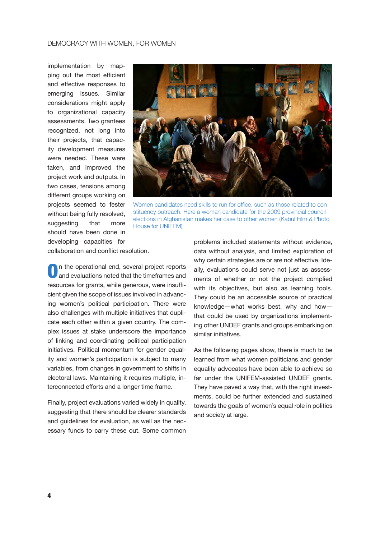implementation by mapping out the most efficient and effective responses to emerging issues. Similar considerations might apply to organizational capacity assessments. Two grantees recognized, not long into their projects, that capacity development measures were needed. These were taken, and improved the project work and outputs. In two cases, tensions among different groups working on projects seemed to fester without being fully resolved, suggesting that more should have been done in developing capacities for



Women candidates need skills to run for office, such as those related to constituency outreach. Here a woman candidate for the 2009 provincial council elections in Afghanistan makes her case to other women (Kabul Film & Photo House for UNIFEM)

collaboration and conflict resolution.

On the operational end, several project reports<br>and evaluations noted that the timeframes and resources for grants, while generous, were insufficient given the scope of issues involved in advancing women's political participation. There were also challenges with multiple initiatives that duplicate each other within a given country. The complex issues at stake underscore the importance of linking and coordinating political participation initiatives. Political momentum for gender equality and women's participation is subject to many variables, from changes in government to shifts in electoral laws. Maintaining it requires multiple, interconnected efforts and a longer time frame.

Finally, project evaluations varied widely in quality, suggesting that there should be clearer standards and guidelines for evaluation, as well as the necessary funds to carry these out. Some common

problems included statements without evidence, data without analysis, and limited exploration of why certain strategies are or are not effective. Ideally, evaluations could serve not just as assessments of whether or not the project complied with its objectives, but also as learning tools. They could be an accessible source of practical knowledge—what works best, why and how that could be used by organizations implementing other UNDEF grants and groups embarking on similar initiatives.

As the following pages show, there is much to be learned from what women politicians and gender equality advocates have been able to achieve so far under the UNIFEM-assisted UNDEF grants. They have paved a way that, with the right investments, could be further extended and sustained towards the goals of women's equal role in politics and society at large.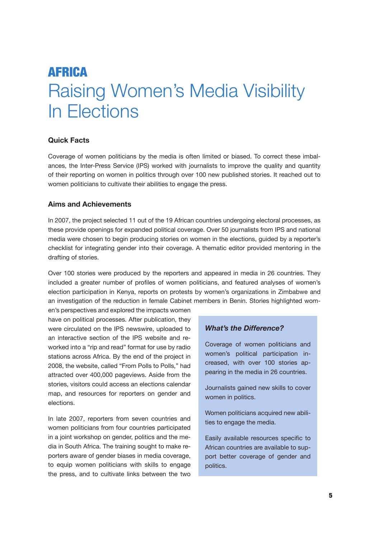# Africa Raising Women's Media Visibility In Elections

# **Quick Facts**

Coverage of women politicians by the media is often limited or biased. To correct these imbalances, the Inter-Press Service (IPS) worked with journalists to improve the quality and quantity of their reporting on women in politics through over 100 new published stories. It reached out to women politicians to cultivate their abilities to engage the press.

# **Aims and Achievements**

In 2007, the project selected 11 out of the 19 African countries undergoing electoral processes, as these provide openings for expanded political coverage. Over 50 journalists from IPS and national media were chosen to begin producing stories on women in the elections, guided by a reporter's checklist for integrating gender into their coverage. A thematic editor provided mentoring in the drafting of stories.

Over 100 stories were produced by the reporters and appeared in media in 26 countries. They included a greater number of profiles of women politicians, and featured analyses of women's election participation in Kenya, reports on protests by women's organizations in Zimbabwe and an investigation of the reduction in female Cabinet members in Benin. Stories highlighted wom-

en's perspectives and explored the impacts women have on political processes. After publication, they were circulated on the IPS newswire, uploaded to an interactive section of the IPS website and reworked into a "rip and read" format for use by radio stations across Africa. By the end of the project in 2008, the website, called "From Polls to Polls," had attracted over 400,000 pageviews. Aside from the stories, visitors could access an elections calendar map, and resources for reporters on gender and elections.

In late 2007, reporters from seven countries and women politicians from four countries participated in a joint workshop on gender, politics and the media in South Africa. The training sought to make reporters aware of gender biases in media coverage, to equip women politicians with skills to engage the press, and to cultivate links between the two

# *What's the Difference?*

Coverage of women politicians and women's political participation increased, with over 100 stories appearing in the media in 26 countries.

Journalists gained new skills to cover women in politics.

Women politicians acquired new abilities to engage the media.

Easily available resources specific to African countries are available to support better coverage of gender and politics.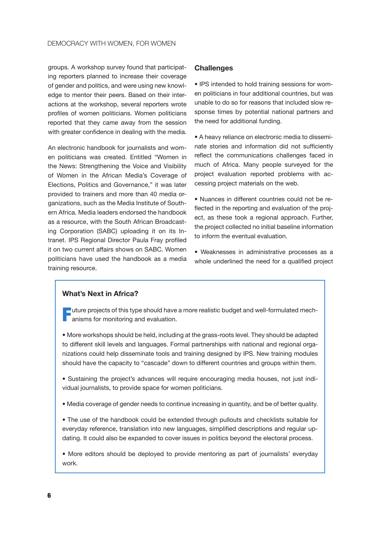groups. A workshop survey found that participating reporters planned to increase their coverage of gender and politics, and were using new knowledge to mentor their peers. Based on their interactions at the workshop, several reporters wrote profiles of women politicians. Women politicians reported that they came away from the session with greater confidence in dealing with the media.

An electronic handbook for journalists and women politicians was created. Entitled "Women in the News: Strengthening the Voice and Visibility of Women in the African Media's Coverage of Elections, Politics and Governance," it was later provided to trainers and more than 40 media organizations, such as the Media Institute of Southern Africa. Media leaders endorsed the handbook as a resource, with the South African Broadcasting Corporation (SABC) uploading it on its Intranet. IPS Regional Director Paula Fray profiled it on two current affairs shows on SABC. Women politicians have used the handbook as a media training resource.

#### **Challenges**

• IPS intended to hold training sessions for women politicians in four additional countries, but was unable to do so for reasons that included slow response times by potential national partners and the need for additional funding.

• A heavy reliance on electronic media to disseminate stories and information did not sufficiently reflect the communications challenges faced in much of Africa. Many people surveyed for the project evaluation reported problems with accessing project materials on the web.

• Nuances in different countries could not be reflected in the reporting and evaluation of the project, as these took a regional approach. Further, the project collected no initial baseline information to inform the eventual evaluation.

• Weaknesses in administrative processes as a whole underlined the need for a qualified project

# **What's Next in Africa?**

Future projects of this type should have a more realistic budget and well-formulated mech-**T** anisms for monitoring and evaluation.

• More workshops should be held, including at the grass-roots level. They should be adapted to different skill levels and languages. Formal partnerships with national and regional organizations could help disseminate tools and training designed by IPS. New training modules should have the capacity to "cascade" down to different countries and groups within them.

• Sustaining the project's advances will require encouraging media houses, not just individual journalists, to provide space for women politicians.

• Media coverage of gender needs to continue increasing in quantity, and be of better quality.

• The use of the handbook could be extended through pullouts and checklists suitable for everyday reference, translation into new languages, simplified descriptions and regular updating. It could also be expanded to cover issues in politics beyond the electoral process.

• More editors should be deployed to provide mentoring as part of journalists' everyday work.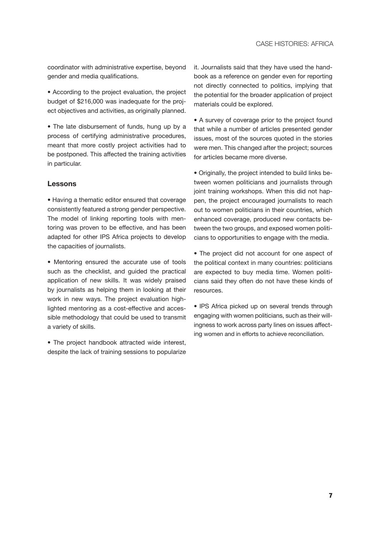coordinator with administrative expertise, beyond gender and media qualifications.

• According to the project evaluation, the project budget of \$216,000 was inadequate for the project objectives and activities, as originally planned.

• The late disbursement of funds, hung up by a process of certifying administrative procedures, meant that more costly project activities had to be postponed. This affected the training activities in particular.

# **Lessons**

• Having a thematic editor ensured that coverage consistently featured a strong gender perspective. The model of linking reporting tools with mentoring was proven to be effective, and has been adapted for other IPS Africa projects to develop the capacities of journalists.

• Mentoring ensured the accurate use of tools such as the checklist, and guided the practical application of new skills. It was widely praised by journalists as helping them in looking at their work in new ways. The project evaluation highlighted mentoring as a cost-effective and accessible methodology that could be used to transmit a variety of skills.

• The project handbook attracted wide interest, despite the lack of training sessions to popularize it. Journalists said that they have used the handbook as a reference on gender even for reporting not directly connected to politics, implying that the potential for the broader application of project materials could be explored.

• A survey of coverage prior to the project found that while a number of articles presented gender issues, most of the sources quoted in the stories were men. This changed after the project; sources for articles became more diverse.

• Originally, the project intended to build links between women politicians and journalists through joint training workshops. When this did not happen, the project encouraged journalists to reach out to women politicians in their countries, which enhanced coverage, produced new contacts between the two groups, and exposed women politicians to opportunities to engage with the media.

• The project did not account for one aspect of the political context in many countries: politicians are expected to buy media time. Women politicians said they often do not have these kinds of resources.

• IPS Africa picked up on several trends through engaging with women politicians, such as their willingness to work across party lines on issues affecting women and in efforts to achieve reconciliation.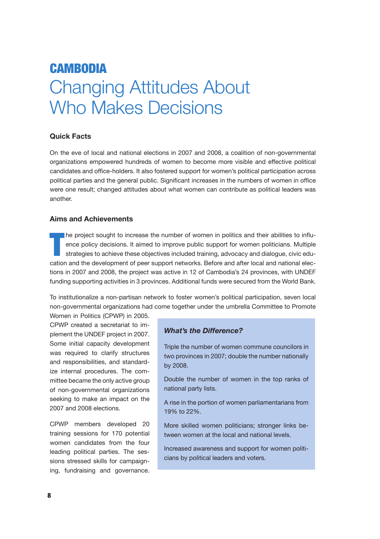# **CAMBODIA** Changing Attitudes About Who Makes Decisions

# **Quick Facts**

On the eve of local and national elections in 2007 and 2008, a coalition of non-governmental organizations empowered hundreds of women to become more visible and effective political candidates and office-holders. It also fostered support for women's political participation across political parties and the general public. Significant increases in the numbers of women in office were one result; changed attitudes about what women can contribute as political leaders was another.

# **Aims and Achievements**

T he project sought to increase the number of women in politics and their abilities to influence policy decisions. It aimed to improve public support for women politicians. Multiple strategies to achieve these objectives included training, advocacy and dialogue, civic education and the development of peer support networks. Before and after local and national elections in 2007 and 2008, the project was active in 12 of Cambodia's 24 provinces, with UNDEF funding supporting activities in 3 provinces. Additional funds were secured from the World Bank.

To institutionalize a non-partisan network to foster women's political participation, seven local non-governmental organizations had come together under the umbrella Committee to Promote

Women in Politics (CPWP) in 2005. CPWP created a secretariat to implement the UNDEF project in 2007. Some initial capacity development was required to clarify structures and responsibilities, and standardize internal procedures. The committee became the only active group of non-governmental organizations seeking to make an impact on the 2007 and 2008 elections.

CPWP members developed 20 training sessions for 170 potential women candidates from the four leading political parties. The sessions stressed skills for campaigning, fundraising and governance.

# *What's the Difference?*

Triple the number of women commune councilors in two provinces in 2007; double the number nationally by 2008.

Double the number of women in the top ranks of national party lists.

A rise in the portion of women parliamentarians from 19% to 22%.

More skilled women politicians; stronger links between women at the local and national levels.

Increased awareness and support for women politicians by political leaders and voters.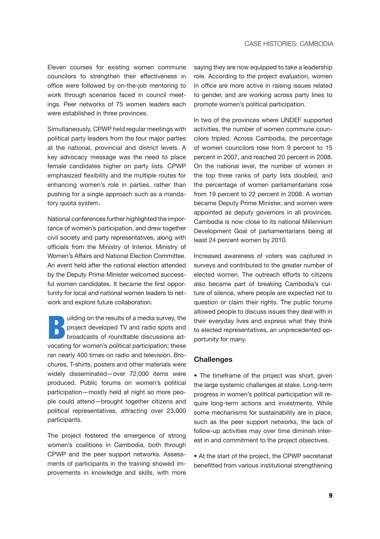Eleven courses for existing women commune councilors to strengthen their effectiveness in office were followed by on-the-job mentoring to work through scenarios faced in council meetings. Peer networks of 75 women leaders each were established in three provinces.

Simultaneously, CPWP held regular meetings with political party leaders from the four major parties at the national, provincial and district levels. A key advocacy message was the need to place female candidates higher on party lists. CPWP emphasized flexibility and the multiple routes for enhancing women's role in parties, rather than pushing for a single approach such as a mandatory quota system.

National conferences further highlighted the importance of women's participation, and drew together civil society and party representatives, along with officials from the Ministry of Interior, Ministry of Women's Affairs and National Election Committee. An event held after the national election attended by the Deputy Prime Minister welcomed successful women candidates. It became the first opportunity for local and national women leaders to network and explore future collaboration.

project developed TV and radio spots and<br>broadcasts of roundtable discussions adproject developed TV and radio spots and vocating for women's political participation; these ran nearly 400 times on radio and television. Brochures, T-shirts, posters and other materials were widely disseminated—over 72,000 items were produced. Public forums on women's political participation—mostly held at night so more people could attend—brought together citizens and political representatives, attracting over 23,000 participants.

The project fostered the emergence of strong women's coalitions in Cambodia, both through CPWP and the peer support networks. Assessments of participants in the training showed improvements in knowledge and skills, with more saying they are now equipped to take a leadership role. According to the project evaluation, women in office are more active in raising issues related to gender, and are working across party lines to promote women's political participation.

In two of the provinces where UNDEF supported activities, the number of women commune councilors tripled. Across Cambodia, the percentage of women councilors rose from 9 percent to 15 percent in 2007, and reached 20 percent in 2008. On the national level, the number of women in the top three ranks of party lists doubled, and the percentage of women parliamentarians rose from 19 percent to 22 percent in 2008. A woman became Deputy Prime Minister, and women were appointed as deputy governors in all provinces. Cambodia is now close to its national Millennium Development Goal of parliamentarians being at least 24 percent women by 2010.

Increased awareness of voters was captured in surveys and contributed to the greater number of elected women. The outreach efforts to citizens also became part of breaking Cambodia's culture of silence, where people are expected not to question or claim their rights. The public forums allowed people to discuss issues they deal with in their everyday lives and express what they think to elected representatives, an unprecedented opportunity for many.

#### **Challenges**

• The timeframe of the project was short, given the large systemic challenges at stake. Long-term progress in women's political participation will require long-term actions and investments. While some mechanisms for sustainability are in place, such as the peer support networks, the lack of follow-up activities may over time diminish interest in and commitment to the project objectives.

• At the start of the project, the CPWP secretariat benefitted from various institutional strengthening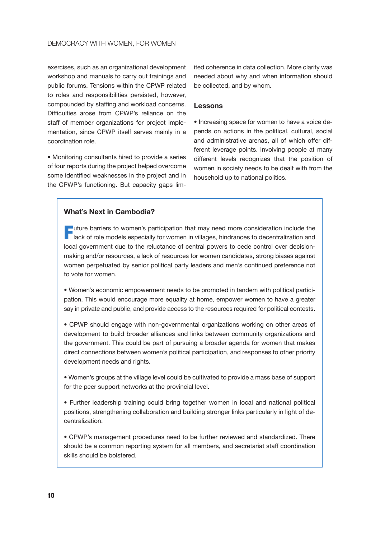exercises, such as an organizational development workshop and manuals to carry out trainings and public forums. Tensions within the CPWP related to roles and responsibilities persisted, however, compounded by staffing and workload concerns. Difficulties arose from CPWP's reliance on the staff of member organizations for project implementation, since CPWP itself serves mainly in a coordination role.

• Monitoring consultants hired to provide a series of four reports during the project helped overcome some identified weaknesses in the project and in the CPWP's functioning. But capacity gaps limited coherence in data collection. More clarity was needed about why and when information should be collected, and by whom.

### **Lessons**

• Increasing space for women to have a voice depends on actions in the political, cultural, social and administrative arenas, all of which offer different leverage points. Involving people at many different levels recognizes that the position of women in society needs to be dealt with from the household up to national politics.

### **What's Next in Cambodia?**

 $\blacksquare$  uture barriers to women's participation that may need more consideration include the **lack of role models especially for women in villages, hindrances to decentralization and** local government due to the reluctance of central powers to cede control over decisionmaking and/or resources, a lack of resources for women candidates, strong biases against women perpetuated by senior political party leaders and men's continued preference not to vote for women.

• Women's economic empowerment needs to be promoted in tandem with political participation. This would encourage more equality at home, empower women to have a greater say in private and public, and provide access to the resources required for political contests.

• CPWP should engage with non-governmental organizations working on other areas of development to build broader alliances and links between community organizations and the government. This could be part of pursuing a broader agenda for women that makes direct connections between women's political participation, and responses to other priority development needs and rights.

• Women's groups at the village level could be cultivated to provide a mass base of support for the peer support networks at the provincial level.

• Further leadership training could bring together women in local and national political positions, strengthening collaboration and building stronger links particularly in light of decentralization.

• CPWP's management procedures need to be further reviewed and standardized. There should be a common reporting system for all members, and secretariat staff coordination skills should be bolstered.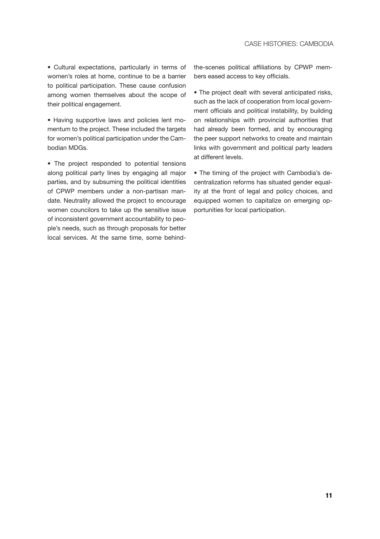• Cultural expectations, particularly in terms of women's roles at home, continue to be a barrier to political participation. These cause confusion among women themselves about the scope of their political engagement.

• Having supportive laws and policies lent momentum to the project. These included the targets for women's political participation under the Cambodian MDGs.

• The project responded to potential tensions along political party lines by engaging all major parties, and by subsuming the political identities of CPWP members under a non-partisan mandate. Neutrality allowed the project to encourage women councilors to take up the sensitive issue of inconsistent government accountability to people's needs, such as through proposals for better local services. At the same time, some behindthe-scenes political affiliations by CPWP members eased access to key officials.

• The project dealt with several anticipated risks, such as the lack of cooperation from local government officials and political instability, by building on relationships with provincial authorities that had already been formed, and by encouraging the peer support networks to create and maintain links with government and political party leaders at different levels.

• The timing of the project with Cambodia's decentralization reforms has situated gender equality at the front of legal and policy choices, and equipped women to capitalize on emerging opportunities for local participation.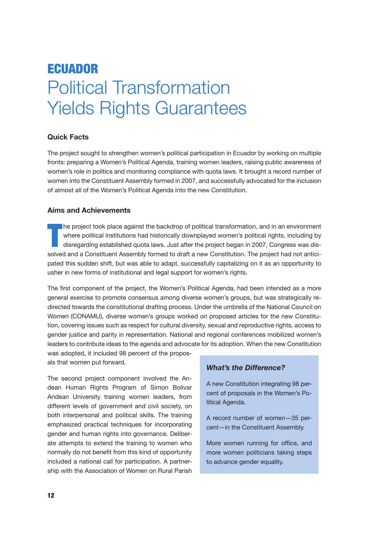# **ECUADOR** Political Transformation Yields Rights Guarantees

# **Quick Facts**

The project sought to strengthen women's political participation in Ecuador by working on multiple fronts: preparing a Women's Political Agenda, training women leaders, raising public awareness of women's role in politics and monitoring compliance with quota laws. It brought a record number of women into the Constituent Assembly formed in 2007, and successfully advocated for the inclusion of almost all of the Women's Political Agenda into the new Constitution.

# **Aims and Achievements**

T he project took place against the backdrop of political transformation, and in an environment where political institutions had historically downplayed women's political rights, including by disregarding established quota laws. Just after the project began in 2007, Congress was dissolved and a Constituent Assembly formed to draft a new Constitution. The project had not anticipated this sudden shift, but was able to adapt, successfully capitalizing on it as an opportunity to usher in new forms of institutional and legal support for women's rights.

The first component of the project, the Women's Political Agenda, had been intended as a more general exercise to promote consensus among diverse women's groups, but was strategically redirected towards the constitutional drafting process. Under the umbrella of the National Council on Women (CONAMU), diverse women's groups worked on proposed articles for the new Constitution, covering issues such as respect for cultural diversity, sexual and reproductive rights, access to gender justice and parity in representation. National and regional conferences mobilized women's leaders to contribute ideas to the agenda and advocate for its adoption. When the new Constitution

was adopted, it included 98 percent of the proposals that women put forward.

The second project component involved the Andean Human Rights Program of Simon Bolivar Andean University training women leaders, from different levels of government and civil society, on both interpersonal and political skills. The training emphasized practical techniques for incorporating gender and human rights into governance. Deliberate attempts to extend the training to women who normally do not benefit from this kind of opportunity included a national call for participation. A partnership with the Association of Women on Rural Parish

# *What's the Difference?*

A new Constitution integrating 98 percent of proposals in the Women's Political Agenda.

A record number of women—35 percent—in the Constituent Assembly.

More women running for office, and more women politicians taking steps to advance gender equality.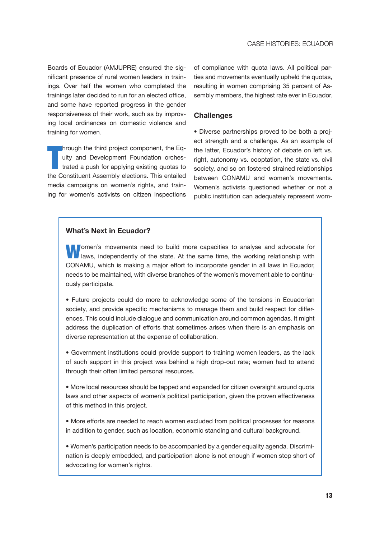Boards of Ecuador (AMJUPRE) ensured the significant presence of rural women leaders in trainings. Over half the women who completed the trainings later decided to run for an elected office, and some have reported progress in the gender responsiveness of their work, such as by improving local ordinances on domestic violence and training for women.

T hrough the third project component, the Equity and Development Foundation orchestrated a push for applying existing quotas to the Constituent Assembly elections. This entailed media campaigns on women's rights, and training for women's activists on citizen inspections of compliance with quota laws. All political parties and movements eventually upheld the quotas, resulting in women comprising 35 percent of Assembly members, the highest rate ever in Ecuador.

#### **Challenges**

• Diverse partnerships proved to be both a project strength and a challenge. As an example of the latter, Ecuador's history of debate on left vs. right, autonomy vs. cooptation, the state vs. civil society, and so on fostered strained relationships between CONAMU and women's movements. Women's activists questioned whether or not a public institution can adequately represent wom-

### **What's Next in Ecuador?**

**Pomen's movements need to build more capacities to analyse and advocate for** I laws, independently of the state. At the same time, the working relationship with CONAMU, which is making a major effort to incorporate gender in all laws in Ecuador, needs to be maintained, with diverse branches of the women's movement able to continuously participate.

• Future projects could do more to acknowledge some of the tensions in Ecuadorian society, and provide specific mechanisms to manage them and build respect for differences. This could include dialogue and communication around common agendas. It might address the duplication of efforts that sometimes arises when there is an emphasis on diverse representation at the expense of collaboration.

• Government institutions could provide support to training women leaders, as the lack of such support in this project was behind a high drop-out rate; women had to attend through their often limited personal resources.

• More local resources should be tapped and expanded for citizen oversight around quota laws and other aspects of women's political participation, given the proven effectiveness of this method in this project.

• More efforts are needed to reach women excluded from political processes for reasons in addition to gender, such as location, economic standing and cultural background.

• Women's participation needs to be accompanied by a gender equality agenda. Discrimination is deeply embedded, and participation alone is not enough if women stop short of advocating for women's rights.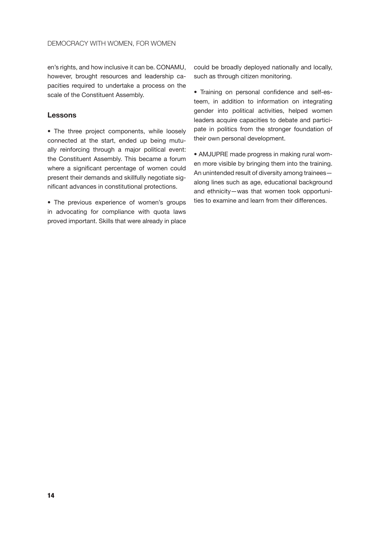en's rights, and how inclusive it can be. CONAMU, however, brought resources and leadership capacities required to undertake a process on the scale of the Constituent Assembly.

#### **Lessons**

• The three project components, while loosely connected at the start, ended up being mutually reinforcing through a major political event: the Constituent Assembly. This became a forum where a significant percentage of women could present their demands and skillfully negotiate significant advances in constitutional protections.

• The previous experience of women's groups in advocating for compliance with quota laws proved important. Skills that were already in place

could be broadly deployed nationally and locally, such as through citizen monitoring.

• Training on personal confidence and self-esteem, in addition to information on integrating gender into political activities, helped women leaders acquire capacities to debate and participate in politics from the stronger foundation of their own personal development.

• AMJUPRE made progress in making rural women more visible by bringing them into the training. An unintended result of diversity among trainees along lines such as age, educational background and ethnicity—was that women took opportunities to examine and learn from their differences.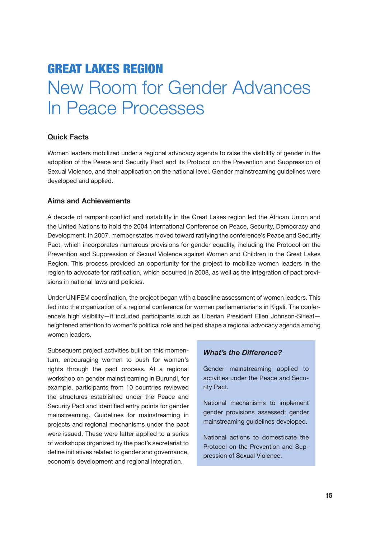# Great Lakes Region New Room for Gender Advances In Peace Processes

# **Quick Facts**

Women leaders mobilized under a regional advocacy agenda to raise the visibility of gender in the adoption of the Peace and Security Pact and its Protocol on the Prevention and Suppression of Sexual Violence, and their application on the national level. Gender mainstreaming guidelines were developed and applied.

### **Aims and Achievements**

A decade of rampant conflict and instability in the Great Lakes region led the African Union and the United Nations to hold the 2004 International Conference on Peace, Security, Democracy and Development. In 2007, member states moved toward ratifying the conference's Peace and Security Pact, which incorporates numerous provisions for gender equality, including the Protocol on the Prevention and Suppression of Sexual Violence against Women and Children in the Great Lakes Region. This process provided an opportunity for the project to mobilize women leaders in the region to advocate for ratification, which occurred in 2008, as well as the integration of pact provisions in national laws and policies.

Under UNIFEM coordination, the project began with a baseline assessment of women leaders. This fed into the organization of a regional conference for women parliamentarians in Kigali. The conference's high visibility—it included participants such as Liberian President Ellen Johnson-Sirleaf heightened attention to women's political role and helped shape a regional advocacy agenda among women leaders.

Subsequent project activities built on this momentum, encouraging women to push for women's rights through the pact process. At a regional workshop on gender mainstreaming in Burundi, for example, participants from 10 countries reviewed the structures established under the Peace and Security Pact and identified entry points for gender mainstreaming. Guidelines for mainstreaming in projects and regional mechanisms under the pact were issued. These were latter applied to a series of workshops organized by the pact's secretariat to define initiatives related to gender and governance, economic development and regional integration.

### *What's the Difference?*

Gender mainstreaming applied to activities under the Peace and Security Pact.

National mechanisms to implement gender provisions assessed; gender mainstreaming guidelines developed.

National actions to domesticate the Protocol on the Prevention and Suppression of Sexual Violence.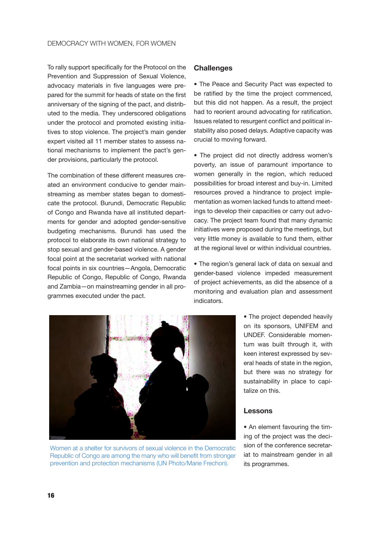To rally support specifically for the Protocol on the Prevention and Suppression of Sexual Violence, advocacy materials in five languages were prepared for the summit for heads of state on the first anniversary of the signing of the pact, and distributed to the media. They underscored obligations under the protocol and promoted existing initiatives to stop violence. The project's main gender expert visited all 11 member states to assess national mechanisms to implement the pact's gender provisions, particularly the protocol.

The combination of these different measures created an environment conducive to gender mainstreaming as member states began to domesticate the protocol. Burundi, Democratic Republic of Congo and Rwanda have all instituted departments for gender and adopted gender-sensitive budgeting mechanisms. Burundi has used the protocol to elaborate its own national strategy to stop sexual and gender-based violence. A gender focal point at the secretariat worked with national focal points in six countries—Angola, Democratic Republic of Congo, Republic of Congo, Rwanda and Zambia—on mainstreaming gender in all programmes executed under the pact.

#### **Challenges**

• The Peace and Security Pact was expected to be ratified by the time the project commenced, but this did not happen. As a result, the project had to reorient around advocating for ratification. Issues related to resurgent conflict and political instability also posed delays. Adaptive capacity was crucial to moving forward.

• The project did not directly address women's poverty, an issue of paramount importance to women generally in the region, which reduced possibilities for broad interest and buy-in. Limited resources proved a hindrance to project implementation as women lacked funds to attend meetings to develop their capacities or carry out advocacy. The project team found that many dynamic initiatives were proposed during the meetings, but very little money is available to fund them, either at the regional level or within individual countries.

• The region's general lack of data on sexual and gender-based violence impeded measurement of project achievements, as did the absence of a monitoring and evaluation plan and assessment indicators.



Women at a shelter for survivors of sexual violence in the Democratic Republic of Congo are among the many who will benefit from stronger prevention and protection mechanisms (UN Photo/Marie Frechon).

• The project depended heavily on its sponsors, UNIFEM and UNDEF. Considerable momentum was built through it, with keen interest expressed by several heads of state in the region, but there was no strategy for sustainability in place to capitalize on this.

#### **Lessons**

• An element favouring the timing of the project was the decision of the conference secretariat to mainstream gender in all its programmes.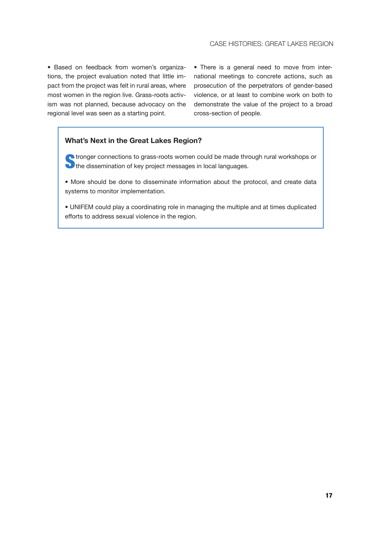• Based on feedback from women's organizations, the project evaluation noted that little impact from the project was felt in rural areas, where most women in the region live. Grass-roots activism was not planned, because advocacy on the regional level was seen as a starting point.

• There is a general need to move from international meetings to concrete actions, such as prosecution of the perpetrators of gender-based violence, or at least to combine work on both to demonstrate the value of the project to a broad cross-section of people.

# **What's Next in the Great Lakes Region?**

**Let ronger connections to grass-roots women could be made through rural workshops or** The dissemination of key project messages in local languages.

• More should be done to disseminate information about the protocol, and create data systems to monitor implementation.

• UNIFEM could play a coordinating role in managing the multiple and at times duplicated efforts to address sexual violence in the region.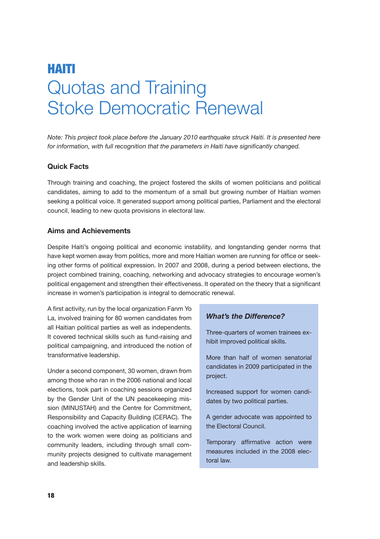# Haiti Quotas and Training Stoke Democratic Renewal

*Note: This project took place before the January 2010 earthquake struck Haiti. It is presented here for information, with full recognition that the parameters in Haiti have significantly changed.* 

### **Quick Facts**

Through training and coaching, the project fostered the skills of women politicians and political candidates, aiming to add to the momentum of a small but growing number of Haitian women seeking a political voice. It generated support among political parties, Parliament and the electoral council, leading to new quota provisions in electoral law.

### **Aims and Achievements**

Despite Haiti's ongoing political and economic instability, and longstanding gender norms that have kept women away from politics, more and more Haitian women are running for office or seeking other forms of political expression. In 2007 and 2008, during a period between elections, the project combined training, coaching, networking and advocacy strategies to encourage women's political engagement and strengthen their effectiveness. It operated on the theory that a significant increase in women's participation is integral to democratic renewal.

A first activity, run by the local organization Fanm Yo La, involved training for 80 women candidates from all Haitian political parties as well as independents. It covered technical skills such as fund-raising and political campaigning, and introduced the notion of transformative leadership.

Under a second component, 30 women, drawn from among those who ran in the 2006 national and local elections, took part in coaching sessions organized by the Gender Unit of the UN peacekeeping mission (MINUSTAH) and the Centre for Commitment, Responsibility and Capacity Building (CERAC). The coaching involved the active application of learning to the work women were doing as politicians and community leaders, including through small community projects designed to cultivate management and leadership skills.

#### *What's the Difference?*

Three-quarters of women trainees exhibit improved political skills.

More than half of women senatorial candidates in 2009 participated in the project.

Increased support for women candidates by two political parties.

A gender advocate was appointed to the Electoral Council.

Temporary affirmative action were measures included in the 2008 electoral law.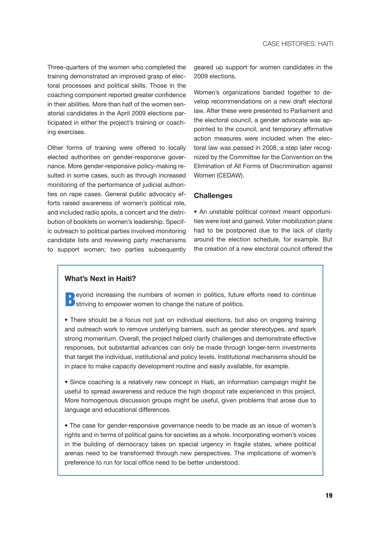Three-quarters of the women who completed the training demonstrated an improved grasp of electoral processes and political skills. Those in the coaching component reported greater confidence in their abilities. More than half of the women senatorial candidates in the April 2009 elections participated in either the project's training or coaching exercises.

Other forms of training were offered to locally elected authorities on gender-responsive governance. More gender-responsive policy-making resulted in some cases, such as through increased monitoring of the performance of judicial authorities on rape cases. General public advocacy efforts raised awareness of women's political role, and included radio spots, a concert and the distribution of booklets on women's leadership. Specific outreach to political parties involved monitoring candidate lists and reviewing party mechanisms to support women; two parties subsequently geared up support for women candidates in the 2009 elections.

Women's organizations banded together to develop recommendations on a new draft electoral law. After these were presented to Parliament and the electoral council, a gender advocate was appointed to the council, and temporary affirmative action measures were included when the electoral law was passed in 2008, a step later recognized by the Committee for the Convention on the Elimination of All Forms of Discrimination against Women (CEDAW).

#### **Challenges**

• An unstable political context meant opportunities were lost and gained. Voter mobilization plans had to be postponed due to the lack of clarity around the election schedule, for example. But the creation of a new electoral council offered the

### **What's Next in Haiti?**

**Deyond increasing the numbers of women in politics, future efforts need to continue D** striving to empower women to change the nature of politics.

• There should be a focus not just on individual elections, but also on ongoing training and outreach work to remove underlying barriers, such as gender stereotypes, and spark strong momentum. Overall, the project helped clarify challenges and demonstrate effective responses, but substantial advances can only be made through longer-term investments that target the individual, institutional and policy levels. Institutional mechanisms should be in place to make capacity development routine and easily available, for example.

• Since coaching is a relatively new concept in Haiti, an information campaign might be useful to spread awareness and reduce the high dropout rate experienced in this project. More homogenous discussion groups might be useful, given problems that arose due to language and educational differences.

• The case for gender-responsive governance needs to be made as an issue of women's rights and in terms of political gains for societies as a whole. Incorporating women's voices in the building of democracy takes on special urgency in fragile states, where political arenas need to be transformed through new perspectives. The implications of women's preference to run for local office need to be better understood.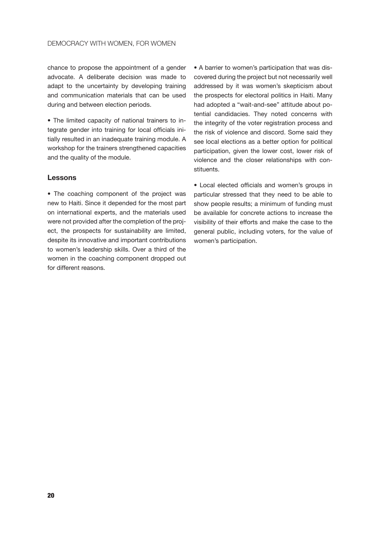#### Democracy with Women, for Women

chance to propose the appointment of a gender advocate. A deliberate decision was made to adapt to the uncertainty by developing training and communication materials that can be used during and between election periods.

• The limited capacity of national trainers to integrate gender into training for local officials initially resulted in an inadequate training module. A workshop for the trainers strengthened capacities and the quality of the module.

#### **Lessons**

• The coaching component of the project was new to Haiti. Since it depended for the most part on international experts, and the materials used were not provided after the completion of the project, the prospects for sustainability are limited, despite its innovative and important contributions to women's leadership skills. Over a third of the women in the coaching component dropped out for different reasons.

• A barrier to women's participation that was discovered during the project but not necessarily well addressed by it was women's skepticism about the prospects for electoral politics in Haiti. Many had adopted a "wait-and-see" attitude about potential candidacies. They noted concerns with the integrity of the voter registration process and the risk of violence and discord. Some said they see local elections as a better option for political participation, given the lower cost, lower risk of violence and the closer relationships with constituents.

• Local elected officials and women's groups in particular stressed that they need to be able to show people results; a minimum of funding must be available for concrete actions to increase the visibility of their efforts and make the case to the general public, including voters, for the value of women's participation.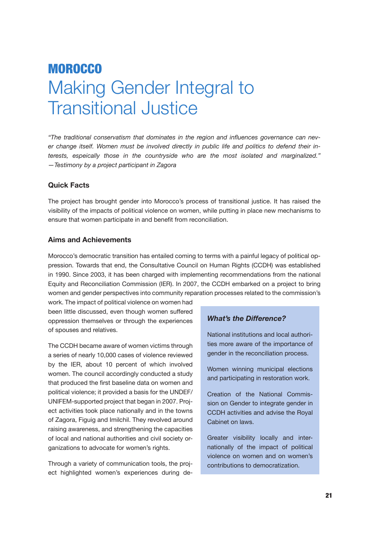# **MOROCCO** Making Gender Integral to Transitional Justice

*"The traditional conservatism that dominates in the region and influences governance can never change itself. Women must be involved directly in public life and politics to defend their interests, espeically those in the countryside who are the most isolated and marginalized." —Testimony by a project participant in Zagora*

# **Quick Facts**

The project has brought gender into Morocco's process of transitional justice. It has raised the visibility of the impacts of political violence on women, while putting in place new mechanisms to ensure that women participate in and benefit from reconciliation.

### **Aims and Achievements**

Morocco's democratic transition has entailed coming to terms with a painful legacy of political oppression. Towards that end, the Consultative Council on Human Rights (CCDH) was established in 1990. Since 2003, it has been charged with implementing recommendations from the national Equity and Reconciliation Commission (IER). In 2007, the CCDH embarked on a project to bring women and gender perspectives into community reparation processes related to the commission's

work. The impact of political violence on women had been little discussed, even though women suffered oppression themselves or through the experiences of spouses and relatives.

The CCDH became aware of women victims through a series of nearly 10,000 cases of violence reviewed by the IER, about 10 percent of which involved women. The council accordingly conducted a study that produced the first baseline data on women and political violence; it provided a basis for the UNDEF/ UNIFEM-supported project that began in 2007. Project activities took place nationally and in the towns of Zagora, Figuig and Imilchil. They revolved around raising awareness, and strengthening the capacities of local and national authorities and civil society organizations to advocate for women's rights.

Through a variety of communication tools, the project highlighted women's experiences during de-

# *What's the Difference?*

National institutions and local authorities more aware of the importance of gender in the reconciliation process.

Women winning municipal elections and participating in restoration work.

Creation of the National Commission on Gender to integrate gender in CCDH activities and advise the Royal Cabinet on laws.

Greater visibility locally and internationally of the impact of political violence on women and on women's contributions to democratization.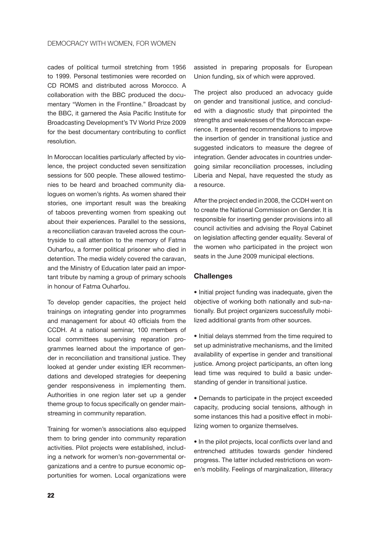cades of political turmoil stretching from 1956 to 1999. Personal testimonies were recorded on CD ROMS and distributed across Morocco. A collaboration with the BBC produced the documentary "Women in the Frontline." Broadcast by the BBC, it garnered the Asia Pacific Institute for Broadcasting Development's TV World Prize 2009 for the best documentary contributing to conflict resolution.

In Moroccan localities particularly affected by violence, the project conducted seven sensitization sessions for 500 people. These allowed testimonies to be heard and broached community dialogues on women's rights. As women shared their stories, one important result was the breaking of taboos preventing women from speaking out about their experiences. Parallel to the sessions, a reconciliation caravan traveled across the countryside to call attention to the memory of Fatma Ouharfou, a former political prisoner who died in detention. The media widely covered the caravan, and the Ministry of Education later paid an important tribute by naming a group of primary schools in honour of Fatma Ouharfou.

To develop gender capacities, the project held trainings on integrating gender into programmes and management for about 40 officials from the CCDH. At a national seminar, 100 members of local committees supervising reparation programmes learned about the importance of gender in reconciliation and transitional justice. They looked at gender under existing IER recommendations and developed strategies for deepening gender responsiveness in implementing them. Authorities in one region later set up a gender theme group to focus specifically on gender mainstreaming in community reparation.

Training for women's associations also equipped them to bring gender into community reparation activities. Pilot projects were established, including a network for women's non-governmental organizations and a centre to pursue economic opportunities for women. Local organizations were assisted in preparing proposals for European Union funding, six of which were approved.

The project also produced an advocacy guide on gender and transitional justice, and concluded with a diagnostic study that pinpointed the strengths and weaknesses of the Moroccan experience. It presented recommendations to improve the insertion of gender in transitional justice and suggested indicators to measure the degree of integration. Gender advocates in countries undergoing similar reconciliation processes, including Liberia and Nepal, have requested the study as a resource.

After the project ended in 2008, the CCDH went on to create the National Commission on Gender. It is responsible for inserting gender provisions into all council activities and advising the Royal Cabinet on legislation affecting gender equality. Several of the women who participated in the project won seats in the June 2009 municipal elections.

#### **Challenges**

• Initial project funding was inadequate, given the objective of working both nationally and sub-nationally. But project organizers successfully mobilized additional grants from other sources.

• Initial delays stemmed from the time required to set up administrative mechanisms, and the limited availability of expertise in gender and transitional justice. Among project participants, an often long lead time was required to build a basic understanding of gender in transitional justice.

• Demands to participate in the project exceeded capacity, producing social tensions, although in some instances this had a positive effect in mobilizing women to organize themselves.

• In the pilot projects, local conflicts over land and entrenched attitudes towards gender hindered progress. The latter included restrictions on women's mobility. Feelings of marginalization, illiteracy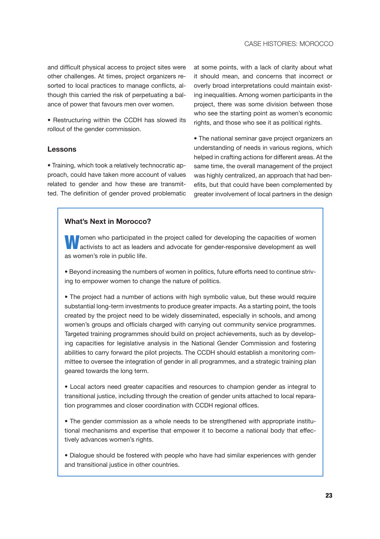and difficult physical access to project sites were other challenges. At times, project organizers resorted to local practices to manage conflicts, although this carried the risk of perpetuating a balance of power that favours men over women.

• Restructuring within the CCDH has slowed its rollout of the gender commission.

### **Lessons**

• Training, which took a relatively technocratic approach, could have taken more account of values related to gender and how these are transmitted. The definition of gender proved problematic at some points, with a lack of clarity about what it should mean, and concerns that incorrect or overly broad interpretations could maintain existing inequalities. Among women participants in the project, there was some division between those who see the starting point as women's economic rights, and those who see it as political rights.

• The national seminar gave project organizers an understanding of needs in various regions, which helped in crafting actions for different areas. At the same time, the overall management of the project was highly centralized, an approach that had benefits, but that could have been complemented by greater involvement of local partners in the design

### **What's Next in Morocco?**

**Women who participated in the project called for developing the capacities of women activists to act as leaders and advocate for gender-responsive development as well** as women's role in public life.

• Beyond increasing the numbers of women in politics, future efforts need to continue striving to empower women to change the nature of politics.

• The project had a number of actions with high symbolic value, but these would require substantial long-term investments to produce greater impacts. As a starting point, the tools created by the project need to be widely disseminated, especially in schools, and among women's groups and officials charged with carrying out community service programmes. Targeted training programmes should build on project achievements, such as by developing capacities for legislative analysis in the National Gender Commission and fostering abilities to carry forward the pilot projects. The CCDH should establish a monitoring committee to oversee the integration of gender in all programmes, and a strategic training plan geared towards the long term.

• Local actors need greater capacities and resources to champion gender as integral to transitional justice, including through the creation of gender units attached to local reparation programmes and closer coordination with CCDH regional offices.

• The gender commission as a whole needs to be strengthened with appropriate institutional mechanisms and expertise that empower it to become a national body that effectively advances women's rights.

• Dialogue should be fostered with people who have had similar experiences with gender and transitional justice in other countries.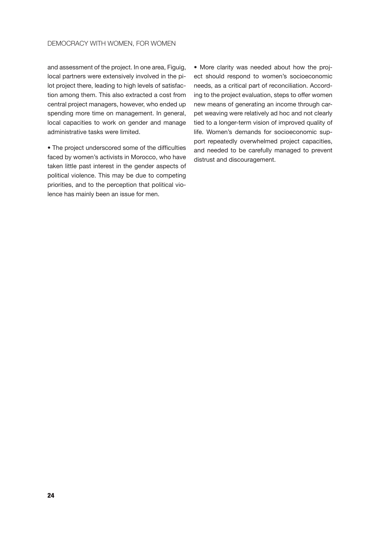and assessment of the project. In one area, Figuig, local partners were extensively involved in the pilot project there, leading to high levels of satisfaction among them. This also extracted a cost from central project managers, however, who ended up spending more time on management. In general, local capacities to work on gender and manage administrative tasks were limited.

• The project underscored some of the difficulties faced by women's activists in Morocco, who have taken little past interest in the gender aspects of political violence. This may be due to competing priorities, and to the perception that political violence has mainly been an issue for men.

• More clarity was needed about how the project should respond to women's socioeconomic needs, as a critical part of reconciliation. According to the project evaluation, steps to offer women new means of generating an income through carpet weaving were relatively ad hoc and not clearly tied to a longer-term vision of improved quality of life. Women's demands for socioeconomic support repeatedly overwhelmed project capacities, and needed to be carefully managed to prevent distrust and discouragement.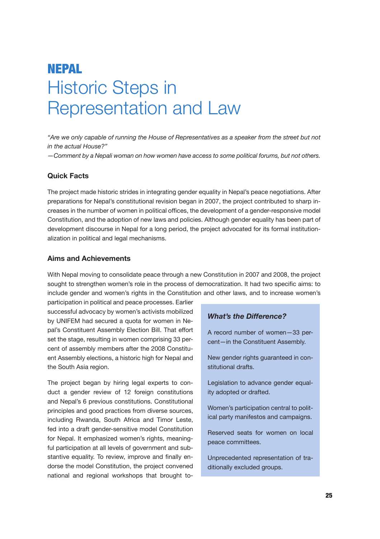# Nepal Historic Steps in Representation and Law

*"Are we only capable of running the House of Representatives as a speaker from the street but not in the actual House?"* 

*—Comment by a Nepali woman on how women have access to some political forums, but not others.*

### **Quick Facts**

The project made historic strides in integrating gender equality in Nepal's peace negotiations. After preparations for Nepal's constitutional revision began in 2007, the project contributed to sharp increases in the number of women in political offices, the development of a gender-responsive model Constitution, and the adoption of new laws and policies. Although gender equality has been part of development discourse in Nepal for a long period, the project advocated for its formal institutionalization in political and legal mechanisms.

### **Aims and Achievements**

With Nepal moving to consolidate peace through a new Constitution in 2007 and 2008, the project sought to strengthen women's role in the process of democratization. It had two specific aims: to include gender and women's rights in the Constitution and other laws, and to increase women's

participation in political and peace processes. Earlier successful advocacy by women's activists mobilized by UNIFEM had secured a quota for women in Nepal's Constituent Assembly Election Bill. That effort set the stage, resulting in women comprising 33 percent of assembly members after the 2008 Constituent Assembly elections, a historic high for Nepal and the South Asia region.

The project began by hiring legal experts to conduct a gender review of 12 foreign constitutions and Nepal's 6 previous constitutions. Constitutional principles and good practices from diverse sources, including Rwanda, South Africa and Timor Leste, fed into a draft gender-sensitive model Constitution for Nepal. It emphasized women's rights, meaningful participation at all levels of government and substantive equality. To review, improve and finally endorse the model Constitution, the project convened national and regional workshops that brought to-

# *What's the Difference?*

A record number of women—33 percent—in the Constituent Assembly.

New gender rights guaranteed in constitutional drafts.

Legislation to advance gender equality adopted or drafted.

Women's participation central to political party manifestos and campaigns.

Reserved seats for women on local peace committees.

Unprecedented representation of traditionally excluded groups.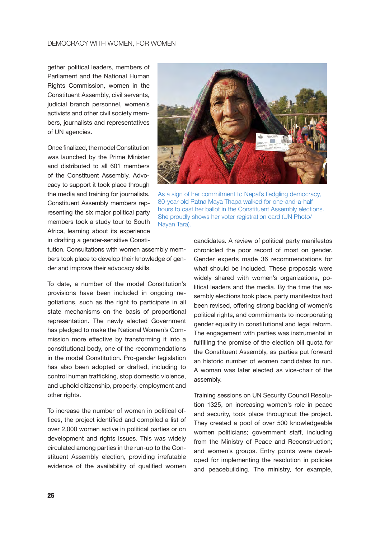gether political leaders, members of Parliament and the National Human Rights Commission, women in the Constituent Assembly, civil servants, judicial branch personnel, women's activists and other civil society members, journalists and representatives of UN agencies.

Once finalized, the model Constitution was launched by the Prime Minister and distributed to all 601 members of the Constituent Assembly. Advocacy to support it took place through the media and training for journalists. Constituent Assembly members representing the six major political party members took a study tour to South Africa, learning about its experience in drafting a gender-sensitive Consti-

tution. Consultations with women assembly members took place to develop their knowledge of gender and improve their advocacy skills.

To date, a number of the model Constitution's provisions have been included in ongoing negotiations, such as the right to participate in all state mechanisms on the basis of proportional representation. The newly elected Government has pledged to make the National Women's Commission more effective by transforming it into a constitutional body, one of the recommendations in the model Constitution. Pro-gender legislation has also been adopted or drafted, including to control human trafficking, stop domestic violence, and uphold citizenship, property, employment and other rights.

To increase the number of women in political offices, the project identified and compiled a list of over 2,000 women active in political parties or on development and rights issues. This was widely circulated among parties in the run-up to the Constituent Assembly election, providing irrefutable evidence of the availability of qualified women



As a sign of her commitment to Nepal's fledgling democracy, 80-year-old Ratna Maya Thapa walked for one-and-a-half hours to cast her ballot in the Constituent Assembly elections. She proudly shows her voter registration card (UN Photo/ Nayan Tara).

candidates. A review of political party manifestos chronicled the poor record of most on gender. Gender experts made 36 recommendations for what should be included. These proposals were widely shared with women's organizations, political leaders and the media. By the time the assembly elections took place, party manifestos had been revised, offering strong backing of women's political rights, and commitments to incorporating gender equality in constitutional and legal reform. The engagement with parties was instrumental in fulfilling the promise of the election bill quota for the Constituent Assembly, as parties put forward an historic number of women candidates to run. A woman was later elected as vice-chair of the assembly.

Training sessions on UN Security Council Resolution 1325, on increasing women's role in peace and security, took place throughout the project. They created a pool of over 500 knowledgeable women politicians; government staff, including from the Ministry of Peace and Reconstruction; and women's groups. Entry points were developed for implementing the resolution in policies and peacebuilding. The ministry, for example,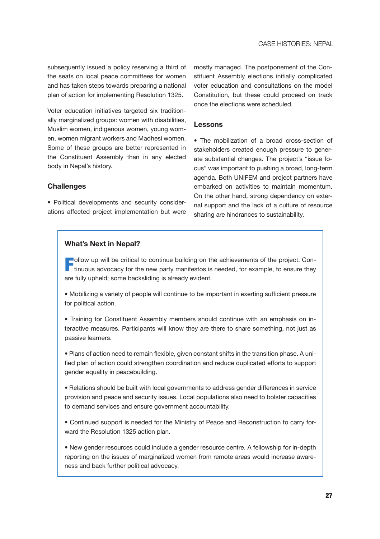subsequently issued a policy reserving a third of the seats on local peace committees for women and has taken steps towards preparing a national plan of action for implementing Resolution 1325.

Voter education initiatives targeted six traditionally marginalized groups: women with disabilities, Muslim women, indigenous women, young women, women migrant workers and Madhesi women. Some of these groups are better represented in the Constituent Assembly than in any elected body in Nepal's history.

mostly managed. The postponement of the Constituent Assembly elections initially complicated voter education and consultations on the model Constitution, but these could proceed on track once the elections were scheduled.

#### **Lessons**

• The mobilization of a broad cross-section of stakeholders created enough pressure to generate substantial changes. The project's "issue focus" was important to pushing a broad, long-term agenda. Both UNIFEM and project partners have embarked on activities to maintain momentum. On the other hand, strong dependency on external support and the lack of a culture of resource sharing are hindrances to sustainability.

### **Challenges**

• Political developments and security considerations affected project implementation but were

#### **What's Next in Nepal?**

Follow up will be critical to continue building on the achievements of the project. Continuous advocacy for the new party manifestos is needed, for example, to ensure they are fully upheld; some backsliding is already evident.

• Mobilizing a variety of people will continue to be important in exerting sufficient pressure for political action.

• Training for Constituent Assembly members should continue with an emphasis on interactive measures. Participants will know they are there to share something, not just as passive learners.

• Plans of action need to remain flexible, given constant shifts in the transition phase. A unified plan of action could strengthen coordination and reduce duplicated efforts to support gender equality in peacebuilding.

• Relations should be built with local governments to address gender differences in service provision and peace and security issues. Local populations also need to bolster capacities to demand services and ensure government accountability.

• Continued support is needed for the Ministry of Peace and Reconstruction to carry forward the Resolution 1325 action plan.

• New gender resources could include a gender resource centre. A fellowship for in-depth reporting on the issues of marginalized women from remote areas would increase awareness and back further political advocacy.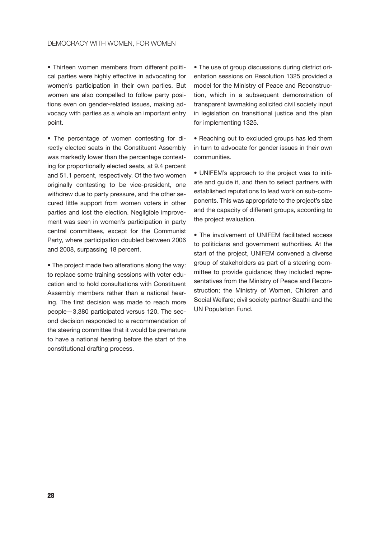• Thirteen women members from different political parties were highly effective in advocating for women's participation in their own parties. But women are also compelled to follow party positions even on gender-related issues, making advocacy with parties as a whole an important entry point.

• The percentage of women contesting for directly elected seats in the Constituent Assembly was markedly lower than the percentage contesting for proportionally elected seats, at 9.4 percent and 51.1 percent, respectively. Of the two women originally contesting to be vice-president, one withdrew due to party pressure, and the other secured little support from women voters in other parties and lost the election. Negligible improvement was seen in women's participation in party central committees, except for the Communist Party, where participation doubled between 2006 and 2008, surpassing 18 percent.

• The project made two alterations along the way: to replace some training sessions with voter education and to hold consultations with Constituent Assembly members rather than a national hearing. The first decision was made to reach more people—3,380 participated versus 120. The second decision responded to a recommendation of the steering committee that it would be premature to have a national hearing before the start of the constitutional drafting process.

• The use of group discussions during district orientation sessions on Resolution 1325 provided a model for the Ministry of Peace and Reconstruction, which in a subsequent demonstration of transparent lawmaking solicited civil society input in legislation on transitional justice and the plan for implementing 1325.

• Reaching out to excluded groups has led them in turn to advocate for gender issues in their own communities.

• UNIFEM's approach to the project was to initiate and guide it, and then to select partners with established reputations to lead work on sub-components. This was appropriate to the project's size and the capacity of different groups, according to the project evaluation.

• The involvement of UNIFEM facilitated access to politicians and government authorities. At the start of the project, UNIFEM convened a diverse group of stakeholders as part of a steering committee to provide guidance; they included representatives from the Ministry of Peace and Reconstruction; the Ministry of Women, Children and Social Welfare; civil society partner Saathi and the UN Population Fund.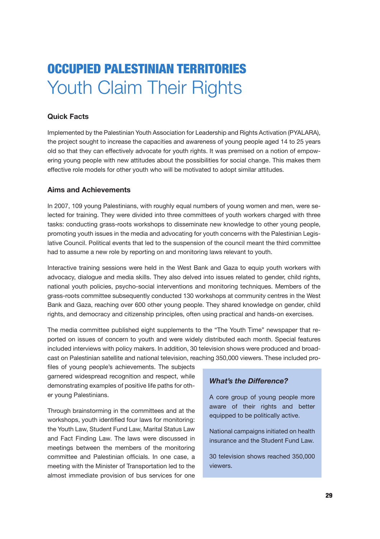# Occupied Palestinian Territories Youth Claim Their Rights

# **Quick Facts**

Implemented by the Palestinian Youth Association for Leadership and Rights Activation (PYALARA), the project sought to increase the capacities and awareness of young people aged 14 to 25 years old so that they can effectively advocate for youth rights. It was premised on a notion of empowering young people with new attitudes about the possibilities for social change. This makes them effective role models for other youth who will be motivated to adopt similar attitudes.

# **Aims and Achievements**

In 2007, 109 young Palestinians, with roughly equal numbers of young women and men, were selected for training. They were divided into three committees of youth workers charged with three tasks: conducting grass-roots workshops to disseminate new knowledge to other young people, promoting youth issues in the media and advocating for youth concerns with the Palestinian Legislative Council. Political events that led to the suspension of the council meant the third committee had to assume a new role by reporting on and monitoring laws relevant to youth.

Interactive training sessions were held in the West Bank and Gaza to equip youth workers with advocacy, dialogue and media skills. They also delved into issues related to gender, child rights, national youth policies, psycho-social interventions and monitoring techniques. Members of the grass-roots committee subsequently conducted 130 workshops at community centres in the West Bank and Gaza, reaching over 600 other young people. They shared knowledge on gender, child rights, and democracy and citizenship principles, often using practical and hands-on exercises.

The media committee published eight supplements to the "The Youth Time" newspaper that reported on issues of concern to youth and were widely distributed each month. Special features included interviews with policy makers. In addition, 30 television shows were produced and broadcast on Palestinian satellite and national television, reaching 350,000 viewers. These included pro-

files of young people's achievements. The subjects garnered widespread recognition and respect, while demonstrating examples of positive life paths for other young Palestinians.

Through brainstorming in the committees and at the workshops, youth identified four laws for monitoring: the Youth Law, Student Fund Law, Marital Status Law and Fact Finding Law. The laws were discussed in meetings between the members of the monitoring committee and Palestinian officials. In one case, a meeting with the Minister of Transportation led to the almost immediate provision of bus services for one

# *What's the Difference?*

A core group of young people more aware of their rights and better equipped to be politically active.

National campaigns initiated on health insurance and the Student Fund Law.

30 television shows reached 350,000 viewers.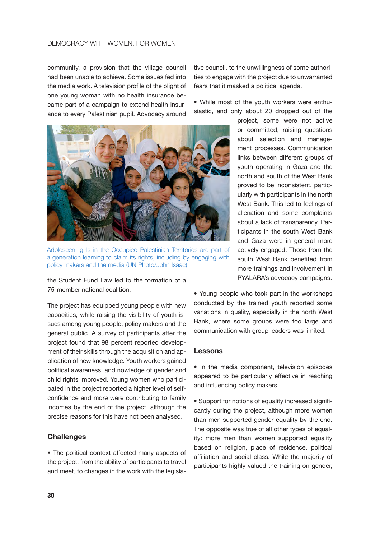#### Democracy with Women, for Women

community, a provision that the village council had been unable to achieve. Some issues fed into the media work. A television profile of the plight of one young woman with no health insurance became part of a campaign to extend health insurance to every Palestinian pupil. Advocacy around



Adolescent girls in the Occupied Palestinian Territories are part of a generation learning to claim its rights, including by engaging with policy makers and the media (UN Photo/John Isaac)

the Student Fund Law led to the formation of a 75-member national coalition.

The project has equipped young people with new capacities, while raising the visibility of youth issues among young people, policy makers and the general public. A survey of participants after the project found that 98 percent reported development of their skills through the acquisition and application of new knowledge. Youth workers gained political awareness, and nowledge of gender and child rights improved. Young women who participated in the project reported a higher level of selfconfidence and more were contributing to family incomes by the end of the project, although the precise reasons for this have not been analysed.

#### **Challenges**

• The political context affected many aspects of the project, from the ability of participants to travel and meet, to changes in the work with the legislative council, to the unwillingness of some authorities to engage with the project due to unwarranted fears that it masked a political agenda.

• While most of the youth workers were enthusiastic, and only about 20 dropped out of the

> project, some were not active or committed, raising questions about selection and management processes. Communication links between different groups of youth operating in Gaza and the north and south of the West Bank proved to be inconsistent, particularly with participants in the north West Bank. This led to feelings of alienation and some complaints about a lack of transparency. Participants in the south West Bank and Gaza were in general more actively engaged. Those from the south West Bank benefited from more trainings and involvement in PYALARA's advocacy campaigns.

• Young people who took part in the workshops conducted by the trained youth reported some variations in quality, especially in the north West Bank, where some groups were too large and communication with group leaders was limited.

#### **Lessons**

• In the media component, television episodes appeared to be particularly effective in reaching and influencing policy makers.

• Support for notions of equality increased significantly during the project, although more women than men supported gender equality by the end. The opposite was true of all other types of equality: more men than women supported equality based on religion, place of residence, political affiliation and social class. While the majority of participants highly valued the training on gender,